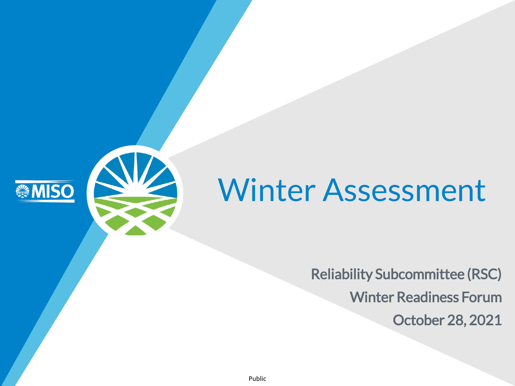

# Winter Assessment

Reliability Subcommittee (RSC) Winter Readiness Forum October 28, 2021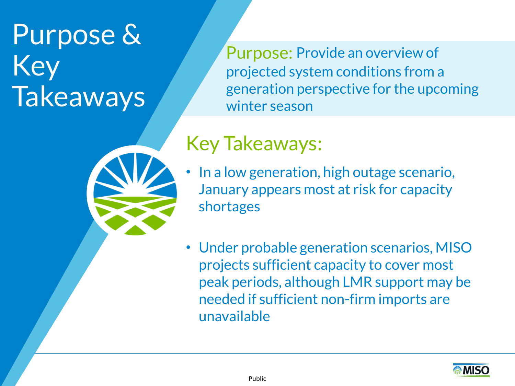# Purpose & Key **Takeaways**

Purpose: Provide an overview of projected system conditions from a generation perspective for the upcoming winter season

## Key Takeaways:

- In a low generation, high outage scenario, January appears most at risk for capacity shortages
- Under probable generation scenarios, MISO projects sufficient capacity to cover most peak periods, although LMR support may be needed if sufficient non-firm imports are unavailable

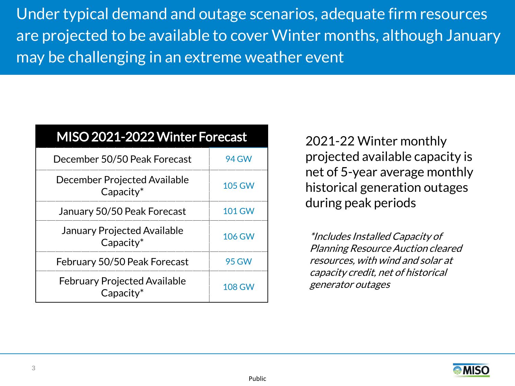Under typical demand and outage scenarios, adequate firm resources are projected to be available to cover Winter months, although January may be challenging in an extreme weather event

| MISO 2021-2022 Winter Forecast                      |               |
|-----------------------------------------------------|---------------|
| December 50/50 Peak Forecast                        | 94 GW         |
| December Projected Available<br>$Capacity^*$        | <b>105 GW</b> |
| January 50/50 Peak Forecast                         | 101 GW        |
| <b>January Projected Available</b><br>$Capacity^*$  | <b>106 GW</b> |
| February 50/50 Peak Forecast                        | 95 GW         |
| <b>February Projected Available</b><br>$Capacity^*$ | 108 GW        |

2021-22 Winter monthly projected available capacity is net of 5-year average monthly historical generation outages during peak periods

\*Includes Installed Capacity of Planning Resource Auction cleared resources, with wind and solar at capacity credit, net of historical generator outages

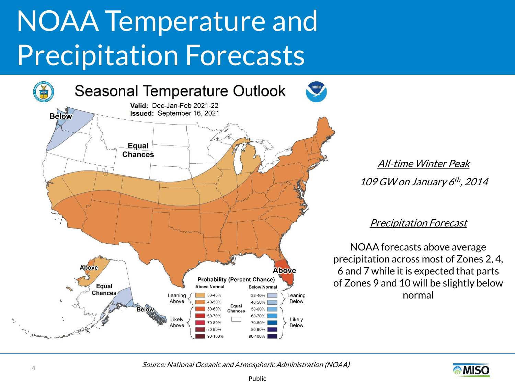# NOAA Temperature and Precipitation Forecasts



All-time Winter Peak 109 GW on January 6 th , 2014

#### Precipitation Forecast

NOAA forecasts above average precipitation across most of Zones 2, 4, 6 and 7 while it is expected that parts of Zones 9 and 10 will be slightly below normal

Source: National Oceanic and Atmospheric Administration (NOAA)

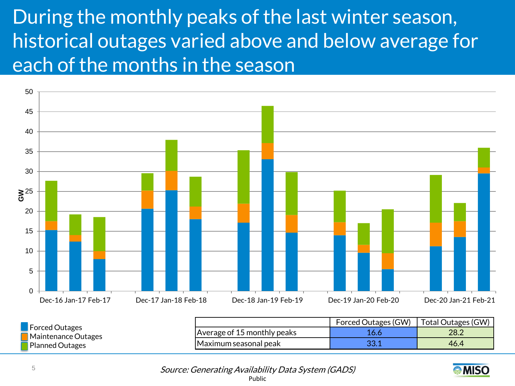## During the monthly peaks of the last winter season, historical outages varied above and below average for each of the months in the season



Maximum seasonal peak 33.1 46.4 Planned Outages

> Public Source: Generating Availability Data System (GADS)

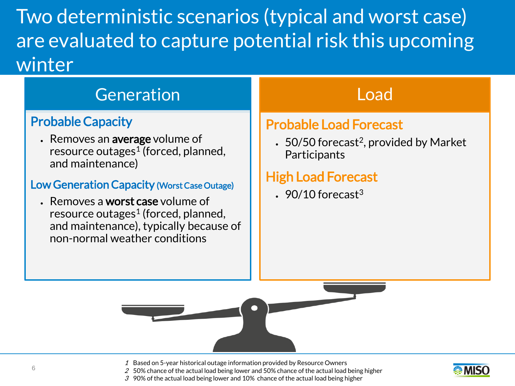Two deterministic scenarios (typical and worst case) are evaluated to capture potential risk this upcoming winter

## Generation

### Probable Capacity

• Removes an average volume of resource outages<sup>1</sup> (forced, planned, and maintenance)

#### Low Generation Capacity (Worst Case Outage)

• Removes a worst case volume of resource outages<sup>1</sup> (forced, planned, and maintenance), typically because of non-normal weather conditions

## Load

### Probable Load Forecast

 $\cdot$  50/50 forecast<sup>2</sup>, provided by Market **Participants** 

## High Load Forecast

 $\cdot$  90/10 forecast<sup>3</sup>

1 Based on 5-year historical outage information provided by Resource Owners



- $2\,$  50% chance of the actual load being lower and 50% chance of the actual load being higher
- 3 90% of the actual load being lower and 10% chance of the actual load being higher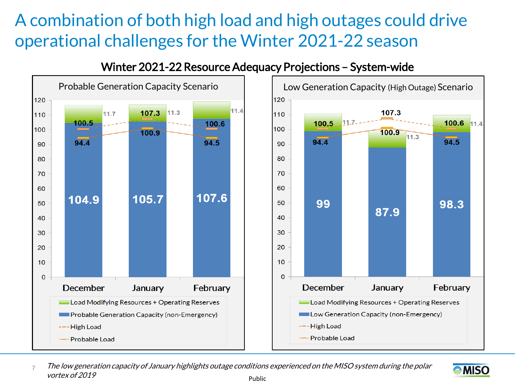## A combination of both high load and high outages could drive operational challenges for the Winter 2021-22 season



### Winter 2021-22 Resource Adequacy Projections - System-wide



Public 7 The low generation capacity of January highlights outage conditions experienced on the MISO system during the polar vortex of 2019

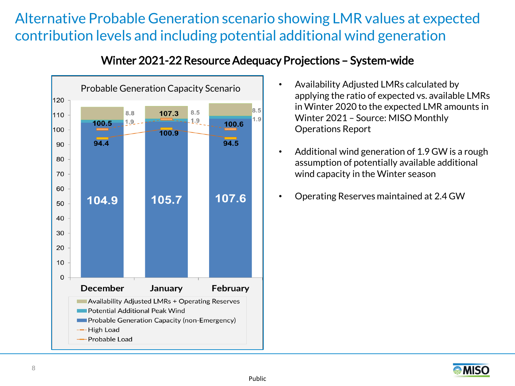## Alternative Probable Generation scenario showing LMR values at expected contribution levels and including potential additional wind generation



### Winter 2021-22Resource Adequacy Projections – System-wide

- applying the ratio of expected vs. available LMRs in Winter 2020 to the expected LMR amounts in Winter 2021 – Source: MISO Monthly Operations Report
- Additional wind generation of 1.9 GW is a rough assumption of potentially available additional wind capacity in the Winter season
- Operating Reserves maintained at 2.4 GW

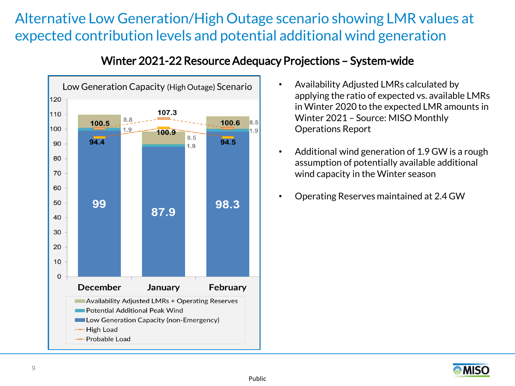## Alternative Low Generation/High Outage scenario showing LMR values at expected contribution levels and potential additional wind generation



#### Winter 2021-22Resource Adequacy Projections – System-wide

- applying the ratio of expected vs. available LMRs in Winter 2020 to the expected LMR amounts in Winter 2021 – Source: MISO Monthly Operations Report
- Additional wind generation of 1.9 GW is a rough assumption of potentially available additional wind capacity in the Winter season
- Operating Reserves maintained at 2.4 GW

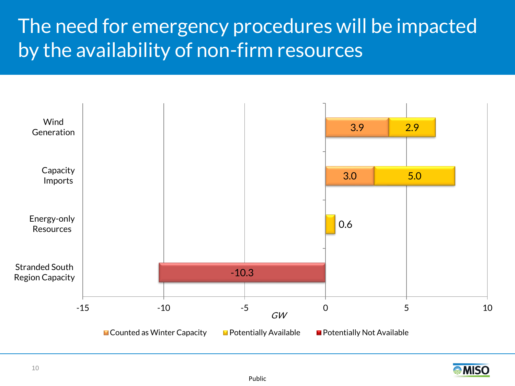## The need for emergency procedures will be impacted by the availability of non-firm resources



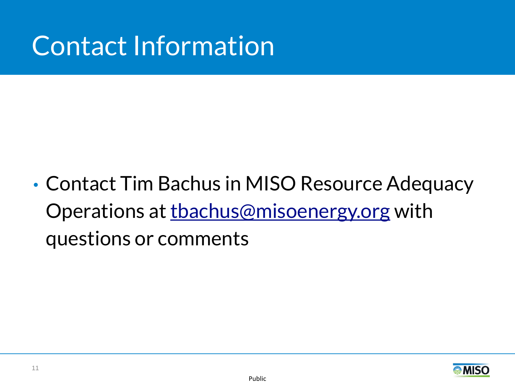# Contact Information

• Contact Tim Bachus in MISO Resource Adequacy Operations at thachus@misoenergy.org with questions or comments

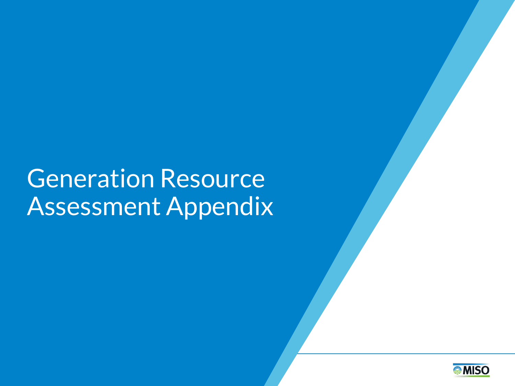# **Generation Resource** Assessment Appendix

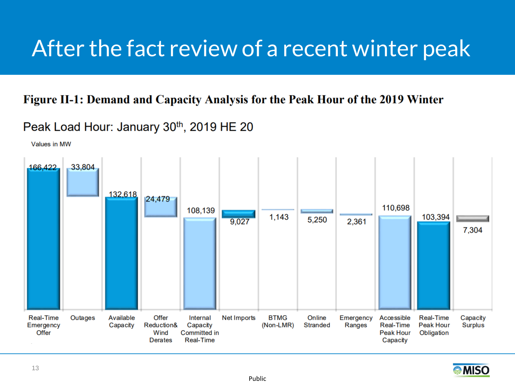# After the fact review of a recent winter peak

### Figure II-1: Demand and Capacity Analysis for the Peak Hour of the 2019 Winter

### Peak Load Hour: January 30th, 2019 HE 20





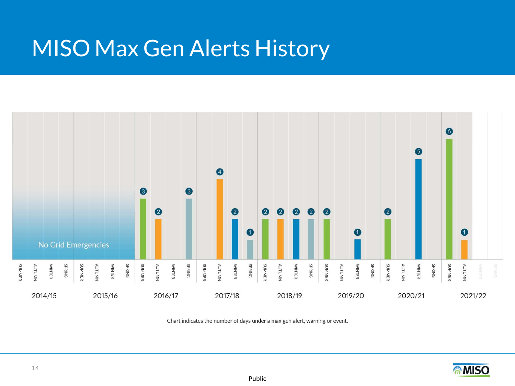## MISO Max Gen Alerts History



Chart indicates the number of days under a max gen alert, warning or event.